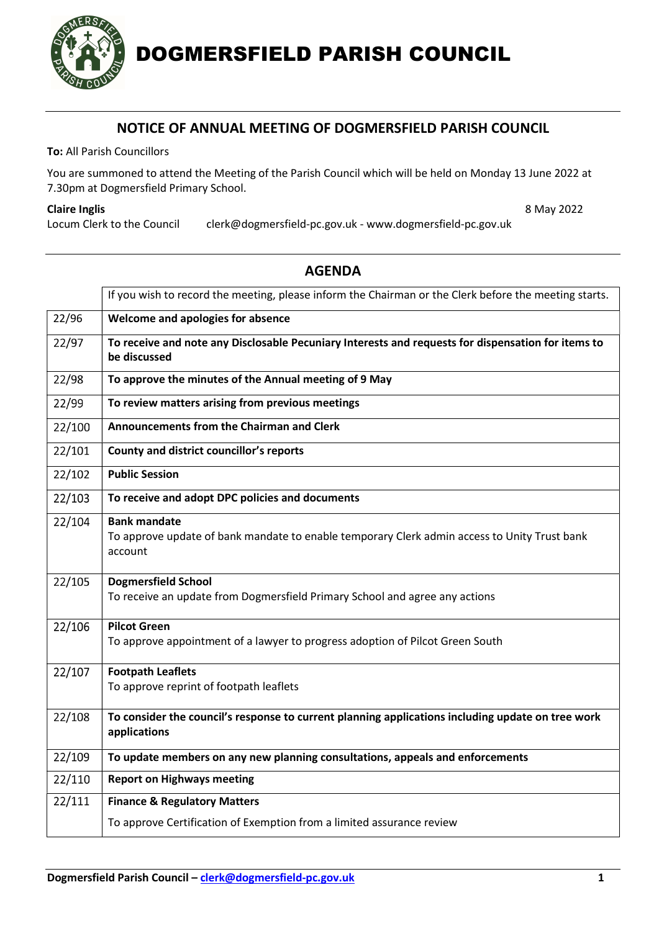

## NOTICE OF ANNUAL MEETING OF DOGMERSFIELD PARISH COUNCIL

To: All Parish Councillors

You are summoned to attend the Meeting of the Parish Council which will be held on Monday 13 June 2022 at 7.30pm at Dogmersfield Primary School.

## Claire Inglis 8 May 2022

Locum Clerk to the Council clerk@dogmersfield-pc.gov.uk - www.dogmersfield-pc.gov.uk

|        | If you wish to record the meeting, please inform the Chairman or the Clerk before the meeting starts.                          |
|--------|--------------------------------------------------------------------------------------------------------------------------------|
| 22/96  | Welcome and apologies for absence                                                                                              |
| 22/97  | To receive and note any Disclosable Pecuniary Interests and requests for dispensation for items to<br>be discussed             |
| 22/98  | To approve the minutes of the Annual meeting of 9 May                                                                          |
| 22/99  | To review matters arising from previous meetings                                                                               |
| 22/100 | Announcements from the Chairman and Clerk                                                                                      |
| 22/101 | County and district councillor's reports                                                                                       |
| 22/102 | <b>Public Session</b>                                                                                                          |
| 22/103 | To receive and adopt DPC policies and documents                                                                                |
| 22/104 | <b>Bank mandate</b><br>To approve update of bank mandate to enable temporary Clerk admin access to Unity Trust bank<br>account |
| 22/105 | <b>Dogmersfield School</b><br>To receive an update from Dogmersfield Primary School and agree any actions                      |
| 22/106 | <b>Pilcot Green</b><br>To approve appointment of a lawyer to progress adoption of Pilcot Green South                           |
| 22/107 | <b>Footpath Leaflets</b><br>To approve reprint of footpath leaflets                                                            |
| 22/108 | To consider the council's response to current planning applications including update on tree work<br>applications              |
| 22/109 | To update members on any new planning consultations, appeals and enforcements                                                  |
| 22/110 | <b>Report on Highways meeting</b>                                                                                              |
| 22/111 | <b>Finance &amp; Regulatory Matters</b>                                                                                        |
|        | To approve Certification of Exemption from a limited assurance review                                                          |

## AGENDA